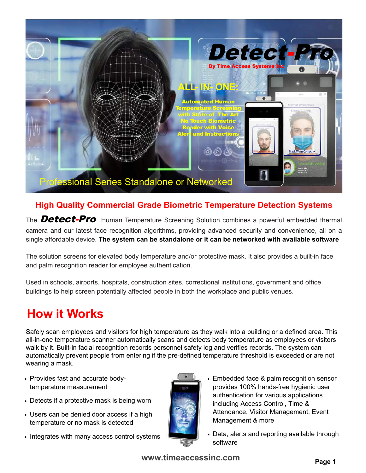

### **High Quality Commercial Grade Biometric Temperature Detection Systems**

The **Detect-Pro** Human Temperature Screening Solution combines a powerful embedded thermal camera and our latest face recognition algorithms, providing advanced security and convenience, all on a single affordable device. **The system can be standalone or it can be networked with available software**

The solution screens for elevated body temperature and/or protective mask. It also provides a built-in face and palm recognition reader for employee authentication.

Used in schools, airports, hospitals, construction sites, correctional institutions, government and office buildings to help screen potentially affected people in both the workplace and public venues.

# **How it Works**

Safely scan employees and visitors for high temperature as they walk into a building or a defined area. This all-in-one temperature scanner automatically scans and detects body temperature as employees or visitors walk by it. Built-in facial recognition records personnel safety log and verifies records. The system can automatically prevent people from entering if the pre-defined temperature threshold is exceeded or are not wearing a mask.

- **•** Provides fast and accurate bodytemperature measurement
- **•** Detects if a protective mask is being worn
- **•** Users can be denied door access if a high temperature or no mask is detected
- **•** Integrates with many access control systems



- **•** Embedded face & palm recognition sensor provides 100% hands-free hygienic user authentication for various applications including Access Control, Time & Attendance, Visitor Management, Event Management & more
- **•** Data, alerts and reporting available through software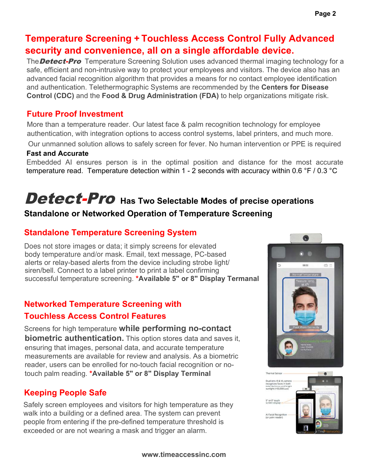# **Temperature Screening + Touchless Access Control Fully Advanced security and convenience, all on a single affordable device.**

The **Detect-Pro** Temperature Screening Solution uses advanced thermal imaging technology for a safe, efficient and non-intrusive way to protect your employees and visitors. The device also has an advanced facial recognition algorithm that provides a means for no contact employee identification and authentication. Telethermographic Systems are recommended by the **Centers for Disease Control (CDC)** and the **Food & Drug Administration (FDA)** to help organizations mitigate risk.

### **Future Proof Investment**

More than a temperature reader. Our latest face & palm recognition technology for employee authentication, with integration options to access control systems, label printers, and much more.

Our unmanned solution allows to safely screen for fever. No human intervention or PPE is required

### **Fast and Accurate**

Embedded AI ensures person is in the optimal position and distance for the most accurate temperature read. Temperature detection within 1 - 2 seconds with accuracy within 0.6 °F / 0.3 °C

# Detect-Pro Has Two Selectable Modes of precise operations

# **Standalone or Networked Operation of Temperature Screening**

## **Standalone Temperature Screening System**

Does not store images or data; it simply screens for elevated body temperature and/or mask. Email, text message, PC-based alerts or relay-based alerts from the device including strobe light/ siren/bell. Connect to a label printer to print a label confirming successful temperature screening. **\*Available 5" or 8" Display Termanal**

# **Networked Temperature Screening with Touchless Access Control Features**

Screens for high temperature **while performing no-contact biometric authentication.** This option stores data and saves it, ensuring that images, personal data, and accurate temperature measurements are available for review and analysis. As a biometric reader, users can be enrolled for no-touch facial recognition or notouch palm reading. **\*Available 5" or 8" Display Terminal**

### **Keeping People Safe**

Safely screen employees and visitors for high temperature as they walk into a building or a defined area. The system can prevent people from entering if the pre-defined temperature threshold is exceeded or are not wearing a mask and trigger an alarm.



Q